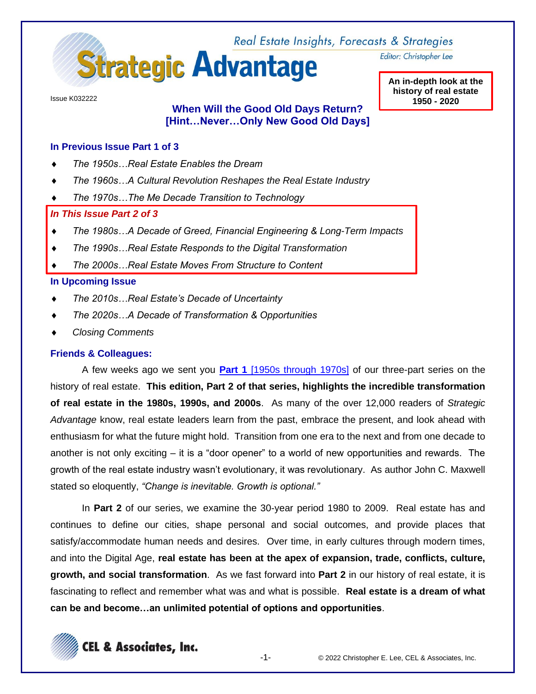

Editor: Christopher Lee

Issue K032222

# **When Will the Good Old Days Return? [Hint…Never…Only New Good Old Days]**

**An in-depth look at the history of real estate 1950 - 2020**

### **In Previous Issue Part 1 of 3**

- *The 1950s…Real Estate Enables the Dream*
- *The 1960s…A Cultural Revolution Reshapes the Real Estate Industry*
- *The 1970s…The Me Decade Transition to Technology*

## *In This Issue Part 2 of 3*

- *The 1980s…A Decade of Greed, Financial Engineering & Long-Term Impacts*
- *The 1990s…Real Estate Responds to the Digital Transformation*
- *The 2000s…Real Estate Moves From Structure to Content*

### **In Upcoming Issue**

- *The 2010s…Real Estate's Decade of Uncertainty*
- *The 2020s…A Decade of Transformation & Opportunities*
- *Closing Comments*

### **Friends & Colleagues:**

A few weeks ago we sent you **Part 1** [\[1950s through 1970s\]](http://www.celassociates.com/onlinenewsletter/good-old-days-sa-k021622.pdf) of our three-part series on the history of real estate. **This edition, Part 2 of that series, highlights the incredible transformation of real estate in the 1980s, 1990s, and 2000s**. As many of the over 12,000 readers of *Strategic Advantage* know, real estate leaders learn from the past, embrace the present, and look ahead with enthusiasm for what the future might hold. Transition from one era to the next and from one decade to another is not only exciting – it is a "door opener" to a world of new opportunities and rewards. The growth of the real estate industry wasn't evolutionary, it was revolutionary. As author John C. Maxwell stated so eloquently, *"Change is inevitable. Growth is optional."*

In **Part 2** of our series, we examine the 30-year period 1980 to 2009. Real estate has and continues to define our cities, shape personal and social outcomes, and provide places that satisfy/accommodate human needs and desires. Over time, in early cultures through modern times, and into the Digital Age, **real estate has been at the apex of expansion, trade, conflicts, culture, growth, and social transformation**. As we fast forward into **Part 2** in our history of real estate, it is fascinating to reflect and remember what was and what is possible. **Real estate is a dream of what can be and become…an unlimited potential of options and opportunities**.

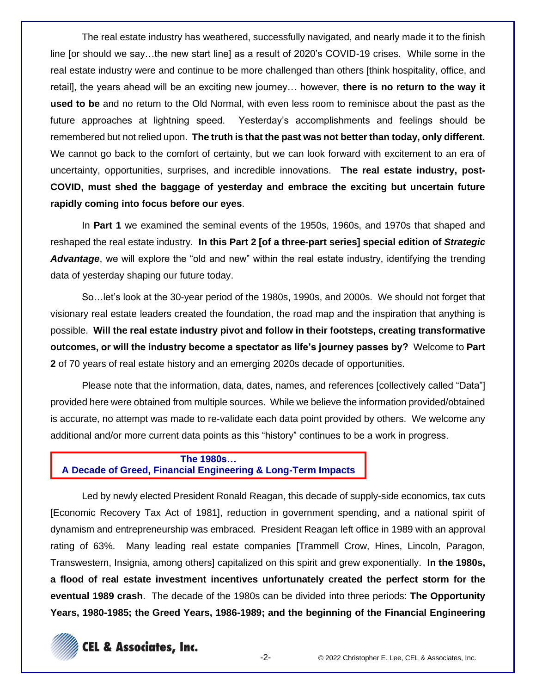The real estate industry has weathered, successfully navigated, and nearly made it to the finish line [or should we say…the new start line] as a result of 2020's COVID-19 crises. While some in the real estate industry were and continue to be more challenged than others [think hospitality, office, and retail], the years ahead will be an exciting new journey… however, **there is no return to the way it used to be** and no return to the Old Normal, with even less room to reminisce about the past as the future approaches at lightning speed. Yesterday's accomplishments and feelings should be remembered but not relied upon. **The truth is that the past was not better than today, only different.** We cannot go back to the comfort of certainty, but we can look forward with excitement to an era of uncertainty, opportunities, surprises, and incredible innovations. **The real estate industry, post-COVID, must shed the baggage of yesterday and embrace the exciting but uncertain future rapidly coming into focus before our eyes**.

In **Part 1** we examined the seminal events of the 1950s, 1960s, and 1970s that shaped and reshaped the real estate industry. **In this Part 2 [of a three-part series] special edition of** *Strategic Advantage*, we will explore the "old and new" within the real estate industry, identifying the trending data of yesterday shaping our future today.

So…let's look at the 30-year period of the 1980s, 1990s, and 2000s. We should not forget that visionary real estate leaders created the foundation, the road map and the inspiration that anything is possible. **Will the real estate industry pivot and follow in their footsteps, creating transformative outcomes, or will the industry become a spectator as life's journey passes by?** Welcome to **Part 2** of 70 years of real estate history and an emerging 2020s decade of opportunities.

Please note that the information, data, dates, names, and references [collectively called "Data"] provided here were obtained from multiple sources. While we believe the information provided/obtained is accurate, no attempt was made to re-validate each data point provided by others. We welcome any additional and/or more current data points as this "history" continues to be a work in progress.

## **The 1980s… A Decade of Greed, Financial Engineering & Long-Term Impacts**

Led by newly elected President Ronald Reagan, this decade of supply-side economics, tax cuts [Economic Recovery Tax Act of 1981], reduction in government spending, and a national spirit of dynamism and entrepreneurship was embraced. President Reagan left office in 1989 with an approval rating of 63%. Many leading real estate companies [Trammell Crow, Hines, Lincoln, Paragon, Transwestern, Insignia, among others] capitalized on this spirit and grew exponentially. **In the 1980s, a flood of real estate investment incentives unfortunately created the perfect storm for the eventual 1989 crash**. The decade of the 1980s can be divided into three periods: **The Opportunity Years, 1980-1985; the Greed Years, 1986-1989; and the beginning of the Financial Engineering** 

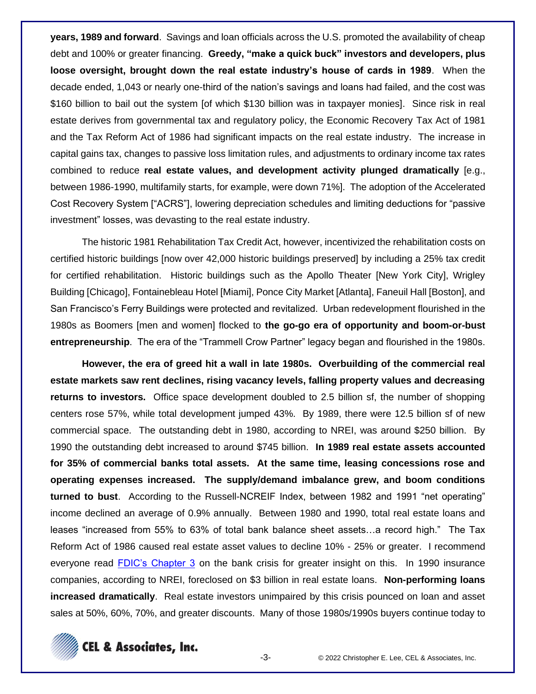**years, 1989 and forward**. Savings and loan officials across the U.S. promoted the availability of cheap debt and 100% or greater financing. **Greedy, "make a quick buck" investors and developers, plus loose oversight, brought down the real estate industry's house of cards in 1989**. When the decade ended, 1,043 or nearly one-third of the nation's savings and loans had failed, and the cost was \$160 billion to bail out the system [of which \$130 billion was in taxpayer monies]. Since risk in real estate derives from governmental tax and regulatory policy, the Economic Recovery Tax Act of 1981 and the Tax Reform Act of 1986 had significant impacts on the real estate industry. The increase in capital gains tax, changes to passive loss limitation rules, and adjustments to ordinary income tax rates combined to reduce **real estate values, and development activity plunged dramatically** [e.g., between 1986-1990, multifamily starts, for example, were down 71%]. The adoption of the Accelerated Cost Recovery System ["ACRS"], lowering depreciation schedules and limiting deductions for "passive investment" losses, was devasting to the real estate industry.

The historic 1981 Rehabilitation Tax Credit Act, however, incentivized the rehabilitation costs on certified historic buildings [now over 42,000 historic buildings preserved] by including a 25% tax credit for certified rehabilitation. Historic buildings such as the Apollo Theater [New York City], Wrigley Building [Chicago], Fontainebleau Hotel [Miami], Ponce City Market [Atlanta], Faneuil Hall [Boston], and San Francisco's Ferry Buildings were protected and revitalized. Urban redevelopment flourished in the 1980s as Boomers [men and women] flocked to **the go-go era of opportunity and boom-or-bust entrepreneurship**. The era of the "Trammell Crow Partner" legacy began and flourished in the 1980s.

**However, the era of greed hit a wall in late 1980s. Overbuilding of the commercial real estate markets saw rent declines, rising vacancy levels, falling property values and decreasing returns to investors.** Office space development doubled to 2.5 billion sf, the number of shopping centers rose 57%, while total development jumped 43%. By 1989, there were 12.5 billion sf of new commercial space. The outstanding debt in 1980, according to NREI, was around \$250 billion. By 1990 the outstanding debt increased to around \$745 billion. **In 1989 real estate assets accounted for 35% of commercial banks total assets. At the same time, leasing concessions rose and operating expenses increased. The supply/demand imbalance grew, and boom conditions turned to bust**. According to the Russell-NCREIF Index, between 1982 and 1991 "net operating" income declined an average of 0.9% annually. Between 1980 and 1990, total real estate loans and leases "increased from 55% to 63% of total bank balance sheet assets…a record high." The Tax Reform Act of 1986 caused real estate asset values to decline 10% - 25% or greater. I recommend everyone read **FDIC's Chapter 3** on the bank crisis for greater insight on this. In 1990 insurance companies, according to NREI, foreclosed on \$3 billion in real estate loans. **Non-performing loans increased dramatically**. Real estate investors unimpaired by this crisis pounced on loan and asset sales at 50%, 60%, 70%, and greater discounts. Many of those 1980s/1990s buyers continue today to

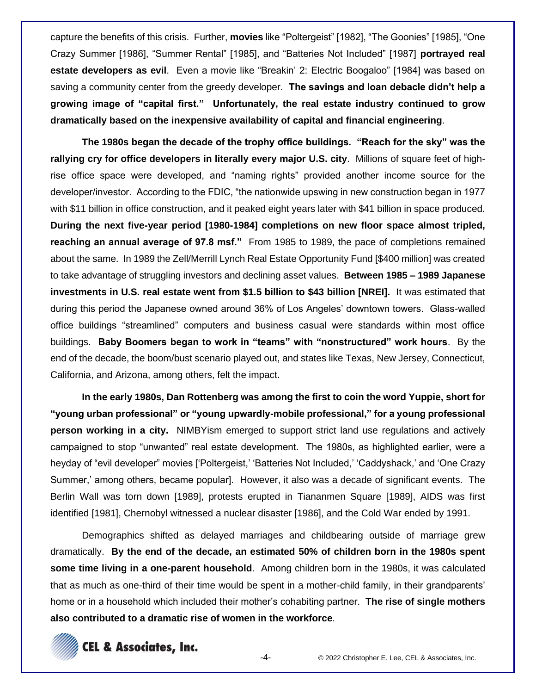capture the benefits of this crisis. Further, **movies** like "Poltergeist" [1982], "The Goonies" [1985], "One Crazy Summer [1986], "Summer Rental" [1985], and "Batteries Not Included" [1987] **portrayed real estate developers as evil**. Even a movie like "Breakin' 2: Electric Boogaloo" [1984] was based on saving a community center from the greedy developer. **The savings and loan debacle didn't help a growing image of "capital first." Unfortunately, the real estate industry continued to grow dramatically based on the inexpensive availability of capital and financial engineering**.

**The 1980s began the decade of the trophy office buildings. "Reach for the sky" was the rallying cry for office developers in literally every major U.S. city**. Millions of square feet of highrise office space were developed, and "naming rights" provided another income source for the developer/investor. According to the FDIC, "the nationwide upswing in new construction began in 1977 with \$11 billion in office construction, and it peaked eight years later with \$41 billion in space produced. **During the next five-year period [1980-1984] completions on new floor space almost tripled, reaching an annual average of 97.8 msf."** From 1985 to 1989, the pace of completions remained about the same. In 1989 the Zell/Merrill Lynch Real Estate Opportunity Fund [\$400 million] was created to take advantage of struggling investors and declining asset values. **Between 1985 – 1989 Japanese investments in U.S. real estate went from \$1.5 billion to \$43 billion [NREI].** It was estimated that during this period the Japanese owned around 36% of Los Angeles' downtown towers. Glass-walled office buildings "streamlined" computers and business casual were standards within most office buildings. **Baby Boomers began to work in "teams" with "nonstructured" work hours**. By the end of the decade, the boom/bust scenario played out, and states like Texas, New Jersey, Connecticut, California, and Arizona, among others, felt the impact.

**In the early 1980s, Dan Rottenberg was among the first to coin the word Yuppie, short for "young urban professional" or "young upwardly-mobile professional," for a young professional person working in a city.** NIMBYism emerged to support strict land use regulations and actively campaigned to stop "unwanted" real estate development. The 1980s, as highlighted earlier, were a heyday of "evil developer" movies ['Poltergeist,' 'Batteries Not Included,' 'Caddyshack,' and 'One Crazy Summer,' among others, became popular]. However, it also was a decade of significant events. The Berlin Wall was torn down [1989], protests erupted in Tiananmen Square [1989], AIDS was first identified [1981], Chernobyl witnessed a nuclear disaster [1986], and the Cold War ended by 1991.

Demographics shifted as delayed marriages and childbearing outside of marriage grew dramatically. **By the end of the decade, an estimated 50% of children born in the 1980s spent some time living in a one-parent household**. Among children born in the 1980s, it was calculated that as much as one-third of their time would be spent in a mother-child family, in their grandparents' home or in a household which included their mother's cohabiting partner. **The rise of single mothers also contributed to a dramatic rise of women in the workforce**.

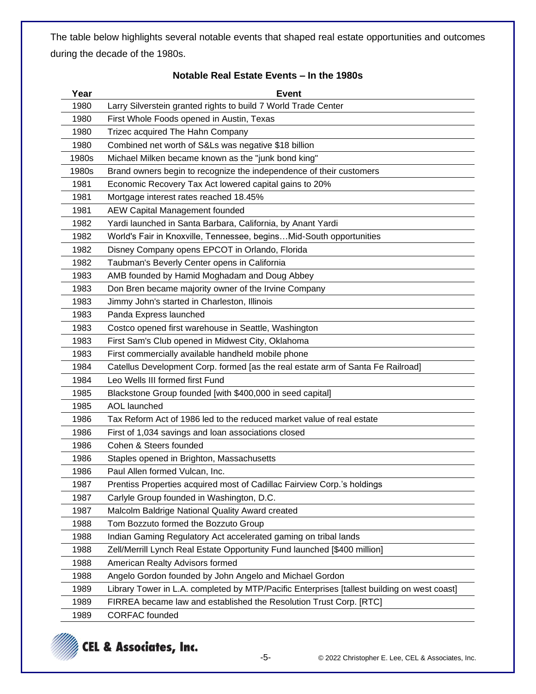The table below highlights several notable events that shaped real estate opportunities and outcomes during the decade of the 1980s.

| Year  | <b>Event</b>                                                                                |
|-------|---------------------------------------------------------------------------------------------|
| 1980  | Larry Silverstein granted rights to build 7 World Trade Center                              |
| 1980  | First Whole Foods opened in Austin, Texas                                                   |
| 1980  | Trizec acquired The Hahn Company                                                            |
| 1980  | Combined net worth of S&Ls was negative \$18 billion                                        |
| 1980s | Michael Milken became known as the "junk bond king"                                         |
| 1980s | Brand owners begin to recognize the independence of their customers                         |
| 1981  | Economic Recovery Tax Act lowered capital gains to 20%                                      |
| 1981  | Mortgage interest rates reached 18.45%                                                      |
| 1981  | <b>AEW Capital Management founded</b>                                                       |
| 1982  | Yardi launched in Santa Barbara, California, by Anant Yardi                                 |
| 1982  | World's Fair in Knoxville, Tennessee, beginsMid-South opportunities                         |
| 1982  | Disney Company opens EPCOT in Orlando, Florida                                              |
| 1982  | Taubman's Beverly Center opens in California                                                |
| 1983  | AMB founded by Hamid Moghadam and Doug Abbey                                                |
| 1983  | Don Bren became majority owner of the Irvine Company                                        |
| 1983  | Jimmy John's started in Charleston, Illinois                                                |
| 1983  | Panda Express launched                                                                      |
| 1983  | Costco opened first warehouse in Seattle, Washington                                        |
| 1983  | First Sam's Club opened in Midwest City, Oklahoma                                           |
| 1983  | First commercially available handheld mobile phone                                          |
| 1984  | Catellus Development Corp. formed [as the real estate arm of Santa Fe Railroad]             |
| 1984  | Leo Wells III formed first Fund                                                             |
| 1985  | Blackstone Group founded [with \$400,000 in seed capital]                                   |
| 1985  | <b>AOL</b> launched                                                                         |
| 1986  | Tax Reform Act of 1986 led to the reduced market value of real estate                       |
| 1986  | First of 1,034 savings and loan associations closed                                         |
| 1986  | Cohen & Steers founded                                                                      |
| 1986  | Staples opened in Brighton, Massachusetts                                                   |
| 1986  | Paul Allen formed Vulcan, Inc.                                                              |
| 1987  | Prentiss Properties acquired most of Cadillac Fairview Corp.'s holdings                     |
| 1987  | Carlyle Group founded in Washington, D.C.                                                   |
| 1987  | Malcolm Baldrige National Quality Award created                                             |
| 1988  | Tom Bozzuto formed the Bozzuto Group                                                        |
| 1988  | Indian Gaming Regulatory Act accelerated gaming on tribal lands                             |
| 1988  | Zell/Merrill Lynch Real Estate Opportunity Fund launched [\$400 million]                    |
| 1988  | American Realty Advisors formed                                                             |
| 1988  | Angelo Gordon founded by John Angelo and Michael Gordon                                     |
| 1989  | Library Tower in L.A. completed by MTP/Pacific Enterprises [tallest building on west coast] |
| 1989  | FIRREA became law and established the Resolution Trust Corp. [RTC]                          |
| 1989  | <b>CORFAC</b> founded                                                                       |

### **Notable Real Estate Events – In the 1980s**

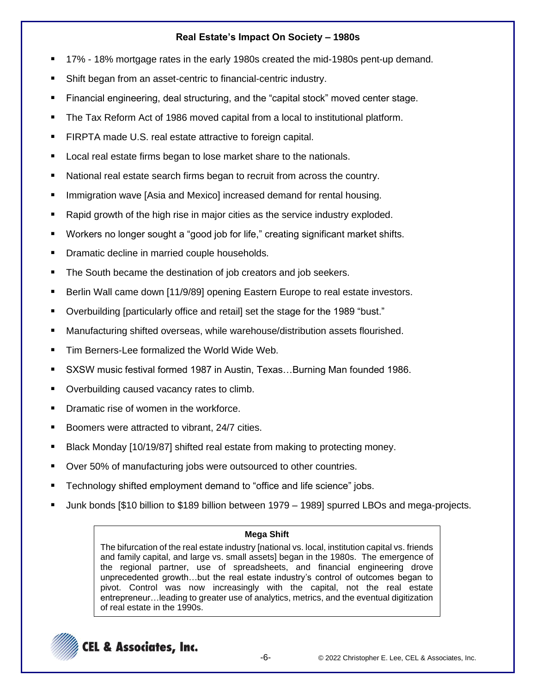# **Real Estate's Impact On Society – 1980s**

- 17% 18% mortgage rates in the early 1980s created the mid-1980s pent-up demand.
- Shift began from an asset-centric to financial-centric industry.
- Financial engineering, deal structuring, and the "capital stock" moved center stage.
- The Tax Reform Act of 1986 moved capital from a local to institutional platform.
- FIRPTA made U.S. real estate attractive to foreign capital.
- Local real estate firms began to lose market share to the nationals.
- National real estate search firms began to recruit from across the country.
- Immigration wave [Asia and Mexico] increased demand for rental housing.
- Rapid growth of the high rise in major cities as the service industry exploded.
- Workers no longer sought a "good job for life," creating significant market shifts.
- Dramatic decline in married couple households.
- The South became the destination of job creators and job seekers.
- Berlin Wall came down [11/9/89] opening Eastern Europe to real estate investors.
- Overbuilding [particularly office and retail] set the stage for the 1989 "bust."
- Manufacturing shifted overseas, while warehouse/distribution assets flourished.
- Tim Berners-Lee formalized the World Wide Web.
- SXSW music festival formed 1987 in Austin, Texas...Burning Man founded 1986.
- Overbuilding caused vacancy rates to climb.
- Dramatic rise of women in the workforce.
- Boomers were attracted to vibrant, 24/7 cities.
- Black Monday [10/19/87] shifted real estate from making to protecting money.
- Over 50% of manufacturing jobs were outsourced to other countries.
- Technology shifted employment demand to "office and life science" jobs.
- Junk bonds [\$10 billion to \$189 billion between 1979 1989] spurred LBOs and mega-projects.

# **Mega Shift**

The bifurcation of the real estate industry [national vs. local, institution capital vs. friends and family capital, and large vs. small assets] began in the 1980s. The emergence of the regional partner, use of spreadsheets, and financial engineering drove unprecedented growth…but the real estate industry's control of outcomes began to pivot. Control was now increasingly with the capital, not the real estate entrepreneur…leading to greater use of analytics, metrics, and the eventual digitization of real estate in the 1990s.

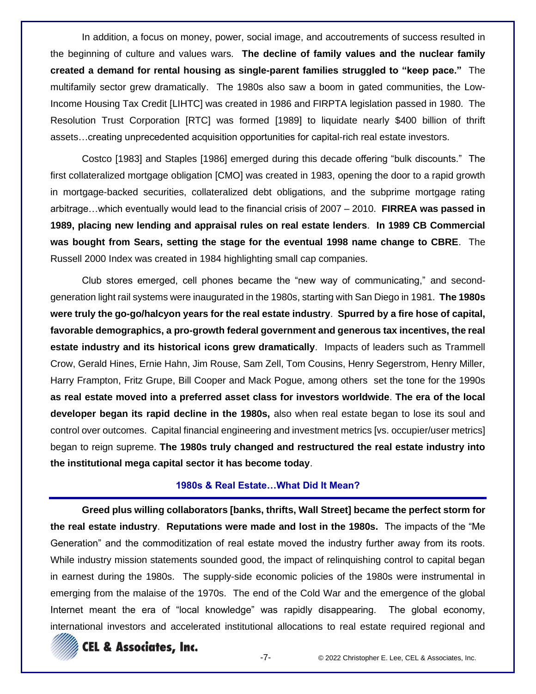In addition, a focus on money, power, social image, and accoutrements of success resulted in the beginning of culture and values wars. **The decline of family values and the nuclear family created a demand for rental housing as single-parent families struggled to "keep pace."** The multifamily sector grew dramatically. The 1980s also saw a boom in gated communities, the Low-Income Housing Tax Credit [LIHTC] was created in 1986 and FIRPTA legislation passed in 1980. The Resolution Trust Corporation [RTC] was formed [1989] to liquidate nearly \$400 billion of thrift assets…creating unprecedented acquisition opportunities for capital-rich real estate investors.

Costco [1983] and Staples [1986] emerged during this decade offering "bulk discounts." The first collateralized mortgage obligation [CMO] was created in 1983, opening the door to a rapid growth in mortgage-backed securities, collateralized debt obligations, and the subprime mortgage rating arbitrage…which eventually would lead to the financial crisis of 2007 – 2010. **FIRREA was passed in 1989, placing new lending and appraisal rules on real estate lenders**. **In 1989 CB Commercial was bought from Sears, setting the stage for the eventual 1998 name change to CBRE**. The Russell 2000 Index was created in 1984 highlighting small cap companies.

Club stores emerged, cell phones became the "new way of communicating," and secondgeneration light rail systems were inaugurated in the 1980s, starting with San Diego in 1981. **The 1980s were truly the go-go/halcyon years for the real estate industry**. **Spurred by a fire hose of capital, favorable demographics, a pro-growth federal government and generous tax incentives, the real estate industry and its historical icons grew dramatically**. Impacts of leaders such as Trammell Crow, Gerald Hines, Ernie Hahn, Jim Rouse, Sam Zell, Tom Cousins, Henry Segerstrom, Henry Miller, Harry Frampton, Fritz Grupe, Bill Cooper and Mack Pogue, among others set the tone for the 1990s **as real estate moved into a preferred asset class for investors worldwide**. **The era of the local developer began its rapid decline in the 1980s,** also when real estate began to lose its soul and control over outcomes. Capital financial engineering and investment metrics [vs. occupier/user metrics] began to reign supreme. **The 1980s truly changed and restructured the real estate industry into the institutional mega capital sector it has become today**.

### **1980s & Real Estate…What Did It Mean?**

**Greed plus willing collaborators [banks, thrifts, Wall Street] became the perfect storm for the real estate industry**. **Reputations were made and lost in the 1980s.** The impacts of the "Me Generation" and the commoditization of real estate moved the industry further away from its roots. While industry mission statements sounded good, the impact of relinquishing control to capital began in earnest during the 1980s. The supply-side economic policies of the 1980s were instrumental in emerging from the malaise of the 1970s. The end of the Cold War and the emergence of the global Internet meant the era of "local knowledge" was rapidly disappearing. The global economy, international investors and accelerated institutional allocations to real estate required regional and

# **CEL & Associates, Inc.**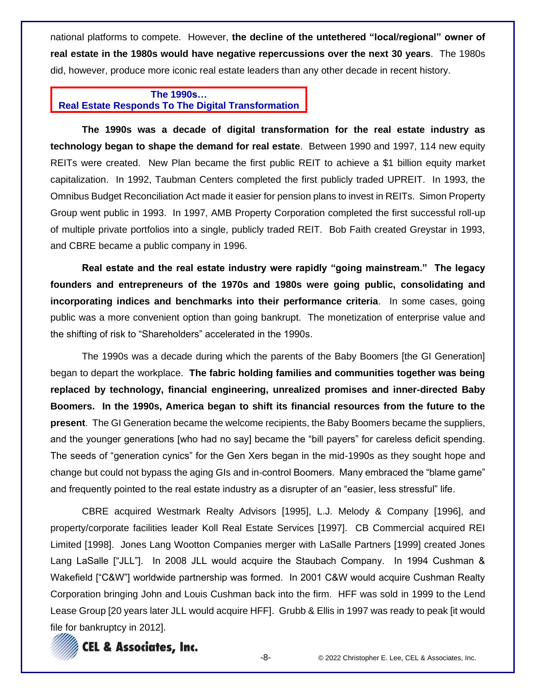national platforms to compete. However, **the decline of the untethered "local/regional" owner of real estate in the 1980s would have negative repercussions over the next 30 years**. The 1980s did, however, produce more iconic real estate leaders than any other decade in recent history.

## **The 1990s… Real Estate Responds To The Digital Transformation**

**The 1990s was a decade of digital transformation for the real estate industry as technology began to shape the demand for real estate**. Between 1990 and 1997, 114 new equity REITs were created. New Plan became the first public REIT to achieve a \$1 billion equity market capitalization. In 1992, Taubman Centers completed the first publicly traded UPREIT. In 1993, the Omnibus Budget Reconciliation Act made it easier for pension plans to invest in REITs. Simon Property Group went public in 1993. In 1997, AMB Property Corporation completed the first successful roll-up of multiple private portfolios into a single, publicly traded REIT. Bob Faith created Greystar in 1993, and CBRE became a public company in 1996.

**Real estate and the real estate industry were rapidly "going mainstream." The legacy founders and entrepreneurs of the 1970s and 1980s were going public, consolidating and incorporating indices and benchmarks into their performance criteria**. In some cases, going public was a more convenient option than going bankrupt. The monetization of enterprise value and the shifting of risk to "Shareholders" accelerated in the 1990s.

The 1990s was a decade during which the parents of the Baby Boomers [the GI Generation] began to depart the workplace. **The fabric holding families and communities together was being replaced by technology, financial engineering, unrealized promises and inner-directed Baby Boomers. In the 1990s, America began to shift its financial resources from the future to the present**. The GI Generation became the welcome recipients, the Baby Boomers became the suppliers, and the younger generations [who had no say] became the "bill payers" for careless deficit spending. The seeds of "generation cynics" for the Gen Xers began in the mid-1990s as they sought hope and change but could not bypass the aging GIs and in-control Boomers. Many embraced the "blame game" and frequently pointed to the real estate industry as a disrupter of an "easier, less stressful" life.

CBRE acquired Westmark Realty Advisors [1995], L.J. Melody & Company [1996], and property/corporate facilities leader Koll Real Estate Services [1997]. CB Commercial acquired REI Limited [1998]. Jones Lang Wootton Companies merger with LaSalle Partners [1999] created Jones Lang LaSalle ["JLL"]. In 2008 JLL would acquire the Staubach Company. In 1994 Cushman & Wakefield ["C&W"] worldwide partnership was formed. In 2001 C&W would acquire Cushman Realty Corporation bringing John and Louis Cushman back into the firm. HFF was sold in 1999 to the Lend Lease Group [20 years later JLL would acquire HFF]. Grubb & Ellis in 1997 was ready to peak [it would file for bankruptcy in 2012].

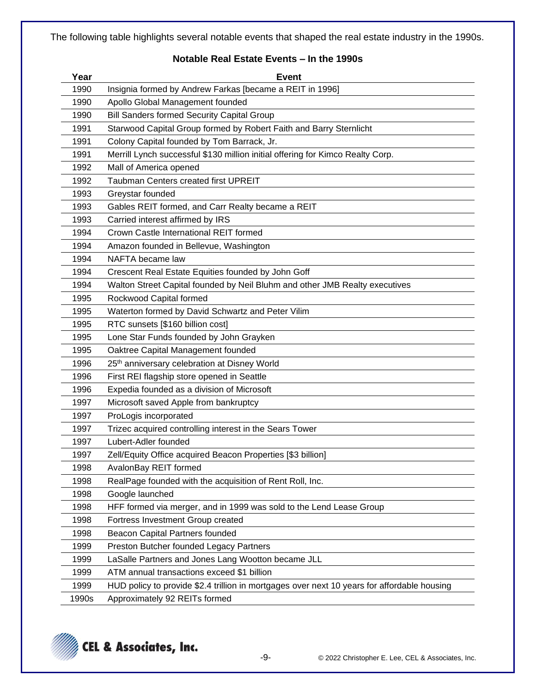The following table highlights several notable events that shaped the real estate industry in the 1990s.

## **Notable Real Estate Events – In the 1990s**

| Year  | <b>Event</b>                                                                                |
|-------|---------------------------------------------------------------------------------------------|
| 1990  | Insignia formed by Andrew Farkas [became a REIT in 1996]                                    |
| 1990  | Apollo Global Management founded                                                            |
| 1990  | <b>Bill Sanders formed Security Capital Group</b>                                           |
| 1991  | Starwood Capital Group formed by Robert Faith and Barry Sternlicht                          |
| 1991  | Colony Capital founded by Tom Barrack, Jr.                                                  |
| 1991  | Merrill Lynch successful \$130 million initial offering for Kimco Realty Corp.              |
| 1992  | Mall of America opened                                                                      |
| 1992  | Taubman Centers created first UPREIT                                                        |
| 1993  | Greystar founded                                                                            |
| 1993  | Gables REIT formed, and Carr Realty became a REIT                                           |
| 1993  | Carried interest affirmed by IRS                                                            |
| 1994  | Crown Castle International REIT formed                                                      |
| 1994  | Amazon founded in Bellevue, Washington                                                      |
| 1994  | NAFTA became law                                                                            |
| 1994  | Crescent Real Estate Equities founded by John Goff                                          |
| 1994  | Walton Street Capital founded by Neil Bluhm and other JMB Realty executives                 |
| 1995  | Rockwood Capital formed                                                                     |
| 1995  | Waterton formed by David Schwartz and Peter Vilim                                           |
| 1995  | RTC sunsets [\$160 billion cost]                                                            |
| 1995  | Lone Star Funds founded by John Grayken                                                     |
| 1995  | Oaktree Capital Management founded                                                          |
| 1996  | 25 <sup>th</sup> anniversary celebration at Disney World                                    |
| 1996  | First REI flagship store opened in Seattle                                                  |
| 1996  | Expedia founded as a division of Microsoft                                                  |
| 1997  | Microsoft saved Apple from bankruptcy                                                       |
| 1997  | ProLogis incorporated                                                                       |
| 1997  | Trizec acquired controlling interest in the Sears Tower                                     |
| 1997  | Lubert-Adler founded                                                                        |
| 1997  | Zell/Equity Office acquired Beacon Properties [\$3 billion]                                 |
| 1998  | AvalonBay REIT formed                                                                       |
| 1998  | RealPage founded with the acquisition of Rent Roll, Inc.                                    |
| 1998  | Google launched                                                                             |
| 1998  | HFF formed via merger, and in 1999 was sold to the Lend Lease Group                         |
| 1998  | Fortress Investment Group created                                                           |
| 1998  | Beacon Capital Partners founded                                                             |
| 1999  | Preston Butcher founded Legacy Partners                                                     |
| 1999  | LaSalle Partners and Jones Lang Wootton became JLL                                          |
| 1999  | ATM annual transactions exceed \$1 billion                                                  |
| 1999  | HUD policy to provide \$2.4 trillion in mortgages over next 10 years for affordable housing |
| 1990s | Approximately 92 REITs formed                                                               |

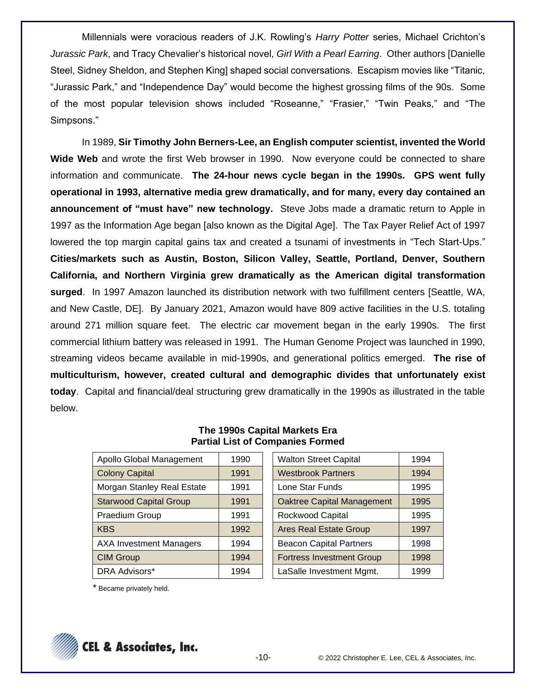Millennials were voracious readers of J.K. Rowling's *Harry Potter* series, Michael Crichton's *Jurassic Park*, and Tracy Chevalier's historical novel, *Girl With a Pearl Earring*. Other authors [Danielle Steel, Sidney Sheldon, and Stephen King] shaped social conversations. Escapism movies like "Titanic, "Jurassic Park," and "Independence Day" would become the highest grossing films of the 90s. Some of the most popular television shows included "Roseanne," "Frasier," "Twin Peaks," and "The Simpsons."

In 1989, **Sir Timothy John Berners-Lee, an English computer scientist, invented the World Wide Web** and wrote the first Web browser in 1990. Now everyone could be connected to share information and communicate. **The 24-hour news cycle began in the 1990s. GPS went fully operational in 1993, alternative media grew dramatically, and for many, every day contained an announcement of "must have" new technology.** Steve Jobs made a dramatic return to Apple in 1997 as the Information Age began [also known as the Digital Age]. The Tax Payer Relief Act of 1997 lowered the top margin capital gains tax and created a tsunami of investments in "Tech Start-Ups." **Cities/markets such as Austin, Boston, Silicon Valley, Seattle, Portland, Denver, Southern California, and Northern Virginia grew dramatically as the American digital transformation surged**. In 1997 Amazon launched its distribution network with two fulfillment centers [Seattle, WA, and New Castle, DE]. By January 2021, Amazon would have 809 active facilities in the U.S. totaling around 271 million square feet. The electric car movement began in the early 1990s. The first commercial lithium battery was released in 1991. The Human Genome Project was launched in 1990, streaming videos became available in mid-1990s, and generational politics emerged. **The rise of multiculturism, however, created cultural and demographic divides that unfortunately exist today**. Capital and financial/deal structuring grew dramatically in the 1990s as illustrated in the table below.

| Apollo Global Management       | 1990 | <b>Walton Street Capital</b>      | 1994 |
|--------------------------------|------|-----------------------------------|------|
| <b>Colony Capital</b>          | 1991 | <b>Westbrook Partners</b>         | 1994 |
| Morgan Stanley Real Estate     | 1991 | Lone Star Funds                   | 1995 |
| <b>Starwood Capital Group</b>  | 1991 | <b>Oaktree Capital Management</b> | 1995 |
| Praedium Group                 | 1991 | Rockwood Capital                  | 1995 |
| <b>KBS</b>                     | 1992 | <b>Ares Real Estate Group</b>     | 1997 |
| <b>AXA Investment Managers</b> | 1994 | <b>Beacon Capital Partners</b>    | 1998 |
| <b>CIM Group</b>               | 1994 | <b>Fortress Investment Group</b>  | 1998 |
| DRA Advisors*                  | 1994 | LaSalle Investment Mgmt.          | 1999 |

### **The 1990s Capital Markets Era Partial List of Companies Formed**

| <b>Walton Street Capital</b>      | 1994 |
|-----------------------------------|------|
| <b>Westbrook Partners</b>         | 1994 |
| Lone Star Funds                   | 1995 |
| <b>Oaktree Capital Management</b> | 1995 |
| Rockwood Capital                  | 1995 |
| <b>Ares Real Estate Group</b>     | 1997 |
| <b>Beacon Capital Partners</b>    | 1998 |
| <b>Fortress Investment Group</b>  | 1998 |
| LaSalle Investment Mgmt.          | 1999 |

\* Became privately held.

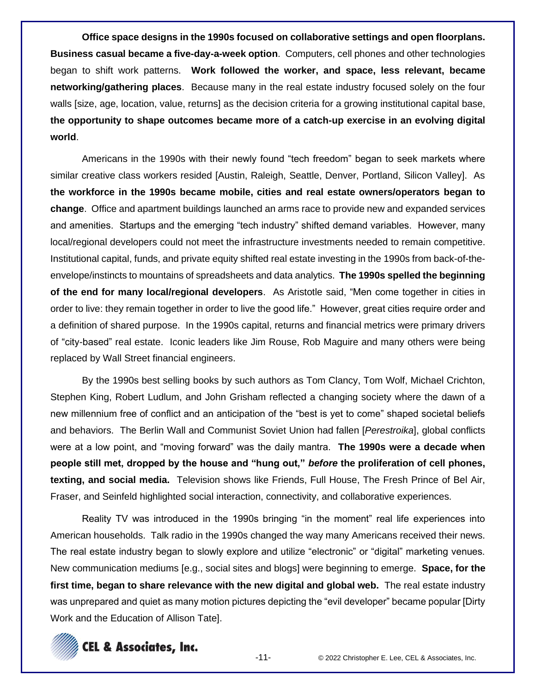**Office space designs in the 1990s focused on collaborative settings and open floorplans. Business casual became a five-day-a-week option**. Computers, cell phones and other technologies began to shift work patterns. **Work followed the worker, and space, less relevant, became networking/gathering places**. Because many in the real estate industry focused solely on the four walls [size, age, location, value, returns] as the decision criteria for a growing institutional capital base, **the opportunity to shape outcomes became more of a catch-up exercise in an evolving digital world**.

Americans in the 1990s with their newly found "tech freedom" began to seek markets where similar creative class workers resided [Austin, Raleigh, Seattle, Denver, Portland, Silicon Valley]. As **the workforce in the 1990s became mobile, cities and real estate owners/operators began to change**. Office and apartment buildings launched an arms race to provide new and expanded services and amenities. Startups and the emerging "tech industry" shifted demand variables. However, many local/regional developers could not meet the infrastructure investments needed to remain competitive. Institutional capital, funds, and private equity shifted real estate investing in the 1990s from back-of-theenvelope/instincts to mountains of spreadsheets and data analytics. **The 1990s spelled the beginning of the end for many local/regional developers**. As Aristotle said, "Men come together in cities in order to live: they remain together in order to live the good life." However, great cities require order and a definition of shared purpose. In the 1990s capital, returns and financial metrics were primary drivers of "city-based" real estate. Iconic leaders like Jim Rouse, Rob Maguire and many others were being replaced by Wall Street financial engineers.

By the 1990s best selling books by such authors as Tom Clancy, Tom Wolf, Michael Crichton, Stephen King, Robert Ludlum, and John Grisham reflected a changing society where the dawn of a new millennium free of conflict and an anticipation of the "best is yet to come" shaped societal beliefs and behaviors. The Berlin Wall and Communist Soviet Union had fallen [*Perestroika*], global conflicts were at a low point, and "moving forward" was the daily mantra. **The 1990s were a decade when people still met, dropped by the house and "hung out,"** *before* **the proliferation of cell phones, texting, and social media.** Television shows like Friends, Full House, The Fresh Prince of Bel Air, Fraser, and Seinfeld highlighted social interaction, connectivity, and collaborative experiences.

Reality TV was introduced in the 1990s bringing "in the moment" real life experiences into American households. Talk radio in the 1990s changed the way many Americans received their news. The real estate industry began to slowly explore and utilize "electronic" or "digital" marketing venues. New communication mediums [e.g., social sites and blogs] were beginning to emerge. **Space, for the first time, began to share relevance with the new digital and global web.** The real estate industry was unprepared and quiet as many motion pictures depicting the "evil developer" became popular [Dirty Work and the Education of Allison Tate].

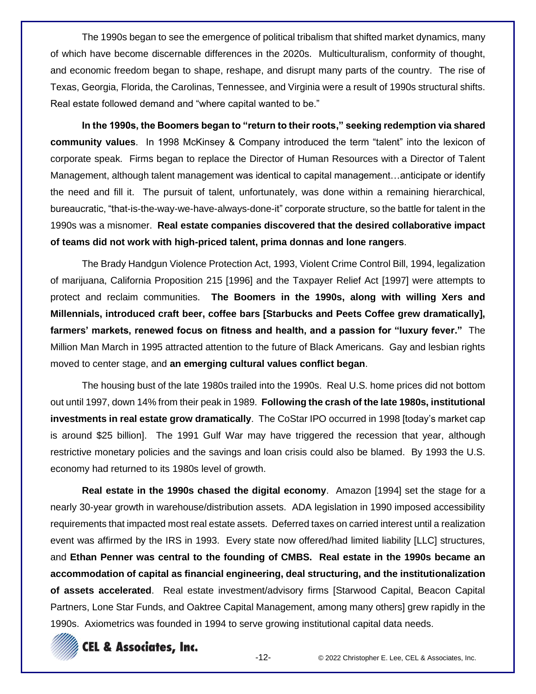The 1990s began to see the emergence of political tribalism that shifted market dynamics, many of which have become discernable differences in the 2020s. Multiculturalism, conformity of thought, and economic freedom began to shape, reshape, and disrupt many parts of the country. The rise of Texas, Georgia, Florida, the Carolinas, Tennessee, and Virginia were a result of 1990s structural shifts. Real estate followed demand and "where capital wanted to be."

**In the 1990s, the Boomers began to "return to their roots," seeking redemption via shared community values**. In 1998 McKinsey & Company introduced the term "talent" into the lexicon of corporate speak. Firms began to replace the Director of Human Resources with a Director of Talent Management, although talent management was identical to capital management…anticipate or identify the need and fill it. The pursuit of talent, unfortunately, was done within a remaining hierarchical, bureaucratic, "that-is-the-way-we-have-always-done-it" corporate structure, so the battle for talent in the 1990s was a misnomer. **Real estate companies discovered that the desired collaborative impact of teams did not work with high-priced talent, prima donnas and lone rangers**.

The Brady Handgun Violence Protection Act, 1993, Violent Crime Control Bill, 1994, legalization of marijuana, California Proposition 215 [1996] and the Taxpayer Relief Act [1997] were attempts to protect and reclaim communities. **The Boomers in the 1990s, along with willing Xers and Millennials, introduced craft beer, coffee bars [Starbucks and Peets Coffee grew dramatically], farmers' markets, renewed focus on fitness and health, and a passion for "luxury fever."** The Million Man March in 1995 attracted attention to the future of Black Americans. Gay and lesbian rights moved to center stage, and **an emerging cultural values conflict began**.

The housing bust of the late 1980s trailed into the 1990s. Real U.S. home prices did not bottom out until 1997, down 14% from their peak in 1989. **Following the crash of the late 1980s, institutional investments in real estate grow dramatically**. The CoStar IPO occurred in 1998 [today's market cap is around \$25 billion]. The 1991 Gulf War may have triggered the recession that year, although restrictive monetary policies and the savings and loan crisis could also be blamed. By 1993 the U.S. economy had returned to its 1980s level of growth.

**Real estate in the 1990s chased the digital economy**. Amazon [1994] set the stage for a nearly 30-year growth in warehouse/distribution assets. ADA legislation in 1990 imposed accessibility requirements that impacted most real estate assets. Deferred taxes on carried interest until a realization event was affirmed by the IRS in 1993. Every state now offered/had limited liability [LLC] structures, and **Ethan Penner was central to the founding of CMBS. Real estate in the 1990s became an accommodation of capital as financial engineering, deal structuring, and the institutionalization of assets accelerated**. Real estate investment/advisory firms [Starwood Capital, Beacon Capital Partners, Lone Star Funds, and Oaktree Capital Management, among many others] grew rapidly in the 1990s. Axiometrics was founded in 1994 to serve growing institutional capital data needs.

# **CEL & Associates, Inc.**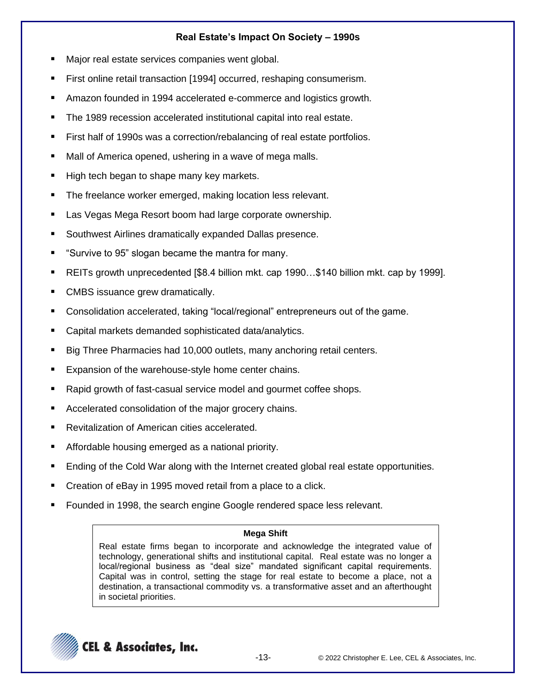# **Real Estate's Impact On Society – 1990s**

- Major real estate services companies went global.
- First online retail transaction [1994] occurred, reshaping consumerism.
- Amazon founded in 1994 accelerated e-commerce and logistics growth.
- The 1989 recession accelerated institutional capital into real estate.
- First half of 1990s was a correction/rebalancing of real estate portfolios.
- Mall of America opened, ushering in a wave of mega malls.
- High tech began to shape many key markets.
- The freelance worker emerged, making location less relevant.
- Las Vegas Mega Resort boom had large corporate ownership.
- Southwest Airlines dramatically expanded Dallas presence.
- "Survive to 95" slogan became the mantra for many.
- REITs growth unprecedented [\$8.4 billion mkt. cap 1990...\$140 billion mkt. cap by 1999].
- CMBS issuance grew dramatically.
- Consolidation accelerated, taking "local/regional" entrepreneurs out of the game.
- Capital markets demanded sophisticated data/analytics.
- Big Three Pharmacies had 10,000 outlets, many anchoring retail centers.
- Expansion of the warehouse-style home center chains.
- Rapid growth of fast-casual service model and gourmet coffee shops.
- Accelerated consolidation of the major grocery chains.
- Revitalization of American cities accelerated.
- Affordable housing emerged as a national priority.
- Ending of the Cold War along with the Internet created global real estate opportunities.
- Creation of eBay in 1995 moved retail from a place to a click.
- Founded in 1998, the search engine Google rendered space less relevant.

### **Mega Shift**

Real estate firms began to incorporate and acknowledge the integrated value of technology, generational shifts and institutional capital. Real estate was no longer a local/regional business as "deal size" mandated significant capital requirements. Capital was in control, setting the stage for real estate to become a place, not a destination, a transactional commodity vs. a transformative asset and an afterthought in societal priorities.

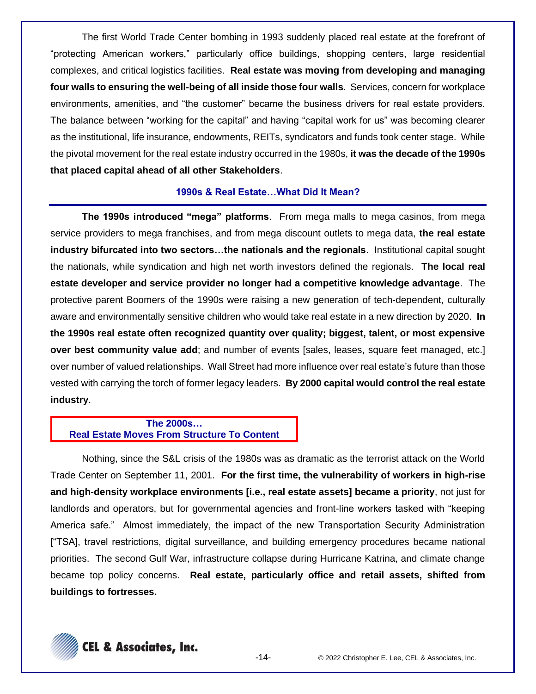The first World Trade Center bombing in 1993 suddenly placed real estate at the forefront of "protecting American workers," particularly office buildings, shopping centers, large residential complexes, and critical logistics facilities. **Real estate was moving from developing and managing four walls to ensuring the well-being of all inside those four walls**. Services, concern for workplace environments, amenities, and "the customer" became the business drivers for real estate providers. The balance between "working for the capital" and having "capital work for us" was becoming clearer as the institutional, life insurance, endowments, REITs, syndicators and funds took center stage. While the pivotal movement for the real estate industry occurred in the 1980s, **it was the decade of the 1990s that placed capital ahead of all other Stakeholders**.

### **1990s & Real Estate…What Did It Mean?**

**The 1990s introduced "mega" platforms**. From mega malls to mega casinos, from mega service providers to mega franchises, and from mega discount outlets to mega data, **the real estate industry bifurcated into two sectors…the nationals and the regionals**. Institutional capital sought the nationals, while syndication and high net worth investors defined the regionals. **The local real estate developer and service provider no longer had a competitive knowledge advantage**. The protective parent Boomers of the 1990s were raising a new generation of tech-dependent, culturally aware and environmentally sensitive children who would take real estate in a new direction by 2020. **In the 1990s real estate often recognized quantity over quality; biggest, talent, or most expensive over best community value add**; and number of events [sales, leases, square feet managed, etc.] over number of valued relationships. Wall Street had more influence over real estate's future than those vested with carrying the torch of former legacy leaders. **By 2000 capital would control the real estate industry**.

## **The 2000s… Real Estate Moves From Structure To Content**

Nothing, since the S&L crisis of the 1980s was as dramatic as the terrorist attack on the World Trade Center on September 11, 2001. **For the first time, the vulnerability of workers in high-rise and high-density workplace environments [i.e., real estate assets] became a priority**, not just for landlords and operators, but for governmental agencies and front-line workers tasked with "keeping America safe." Almost immediately, the impact of the new Transportation Security Administration ["TSA], travel restrictions, digital surveillance, and building emergency procedures became national priorities. The second Gulf War, infrastructure collapse during Hurricane Katrina, and climate change became top policy concerns. **Real estate, particularly office and retail assets, shifted from buildings to fortresses.**

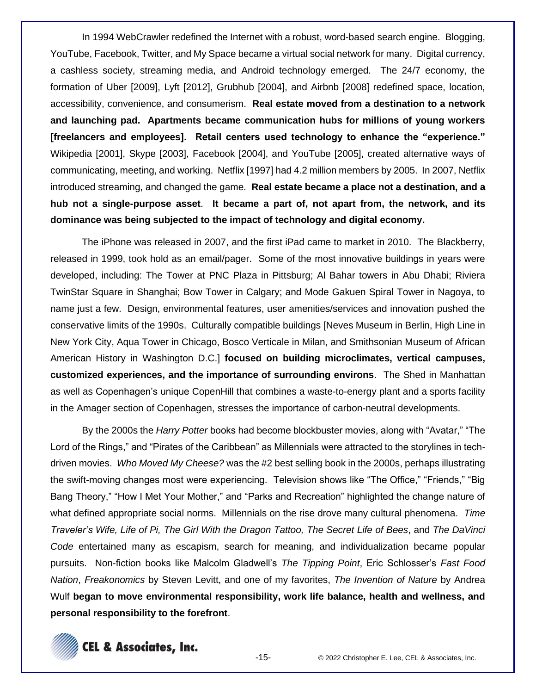In 1994 WebCrawler redefined the Internet with a robust, word-based search engine. Blogging, YouTube, Facebook, Twitter, and My Space became a virtual social network for many. Digital currency, a cashless society, streaming media, and Android technology emerged. The 24/7 economy, the formation of Uber [2009], Lyft [2012], Grubhub [2004], and Airbnb [2008] redefined space, location, accessibility, convenience, and consumerism. **Real estate moved from a destination to a network and launching pad. Apartments became communication hubs for millions of young workers [freelancers and employees]. Retail centers used technology to enhance the "experience."** Wikipedia [2001], Skype [2003], Facebook [2004], and YouTube [2005], created alternative ways of communicating, meeting, and working. Netflix [1997] had 4.2 million members by 2005. In 2007, Netflix introduced streaming, and changed the game. **Real estate became a place not a destination, and a hub not a single-purpose asset**. **It became a part of, not apart from, the network, and its dominance was being subjected to the impact of technology and digital economy.** 

The iPhone was released in 2007, and the first iPad came to market in 2010. The Blackberry, released in 1999, took hold as an email/pager. Some of the most innovative buildings in years were developed, including: The Tower at PNC Plaza in Pittsburg; Al Bahar towers in Abu Dhabi; Riviera TwinStar Square in Shanghai; Bow Tower in Calgary; and Mode Gakuen Spiral Tower in Nagoya, to name just a few. Design, environmental features, user amenities/services and innovation pushed the conservative limits of the 1990s. Culturally compatible buildings [Neves Museum in Berlin, High Line in New York City, Aqua Tower in Chicago, Bosco Verticale in Milan, and Smithsonian Museum of African American History in Washington D.C.] **focused on building microclimates, vertical campuses, customized experiences, and the importance of surrounding environs**. The Shed in Manhattan as well as Copenhagen's unique CopenHill that combines a waste-to-energy plant and a sports facility in the Amager section of Copenhagen, stresses the importance of carbon-neutral developments.

By the 2000s the *Harry Potter* books had become blockbuster movies, along with "Avatar," "The Lord of the Rings," and "Pirates of the Caribbean" as Millennials were attracted to the storylines in techdriven movies. *Who Moved My Cheese?* was the #2 best selling book in the 2000s, perhaps illustrating the swift-moving changes most were experiencing. Television shows like "The Office," "Friends," "Big Bang Theory," "How I Met Your Mother," and "Parks and Recreation" highlighted the change nature of what defined appropriate social norms. Millennials on the rise drove many cultural phenomena. *Time Traveler's Wife, Life of Pi, The Girl With the Dragon Tattoo, The Secret Life of Bees*, and *The DaVinci Code* entertained many as escapism, search for meaning, and individualization became popular pursuits. Non-fiction books like Malcolm Gladwell's *The Tipping Point*, Eric Schlosser's *Fast Food Nation*, *Freakonomics* by Steven Levitt, and one of my favorites, *The Invention of Nature* by Andrea Wulf **began to move environmental responsibility, work life balance, health and wellness, and personal responsibility to the forefront**.

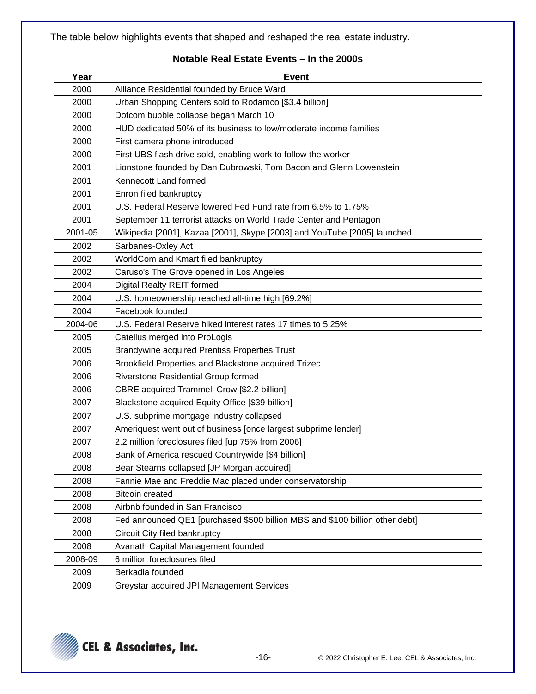The table below highlights events that shaped and reshaped the real estate industry.

## **Notable Real Estate Events – In the 2000s**

| Year    | <b>Event</b>                                                                 |
|---------|------------------------------------------------------------------------------|
| 2000    | Alliance Residential founded by Bruce Ward                                   |
| 2000    | Urban Shopping Centers sold to Rodamco [\$3.4 billion]                       |
| 2000    | Dotcom bubble collapse began March 10                                        |
| 2000    | HUD dedicated 50% of its business to low/moderate income families            |
| 2000    | First camera phone introduced                                                |
| 2000    | First UBS flash drive sold, enabling work to follow the worker               |
| 2001    | Lionstone founded by Dan Dubrowski, Tom Bacon and Glenn Lowenstein           |
| 2001    | Kennecott Land formed                                                        |
| 2001    | Enron filed bankruptcy                                                       |
| 2001    | U.S. Federal Reserve lowered Fed Fund rate from 6.5% to 1.75%                |
| 2001    | September 11 terrorist attacks on World Trade Center and Pentagon            |
| 2001-05 | Wikipedia [2001], Kazaa [2001], Skype [2003] and YouTube [2005] launched     |
| 2002    | Sarbanes-Oxley Act                                                           |
| 2002    | WorldCom and Kmart filed bankruptcy                                          |
| 2002    | Caruso's The Grove opened in Los Angeles                                     |
| 2004    | Digital Realty REIT formed                                                   |
| 2004    | U.S. homeownership reached all-time high [69.2%]                             |
| 2004    | Facebook founded                                                             |
| 2004-06 | U.S. Federal Reserve hiked interest rates 17 times to 5.25%                  |
| 2005    | Catellus merged into ProLogis                                                |
| 2005    | <b>Brandywine acquired Prentiss Properties Trust</b>                         |
| 2006    | Brookfield Properties and Blackstone acquired Trizec                         |
| 2006    | Riverstone Residential Group formed                                          |
| 2006    | CBRE acquired Trammell Crow [\$2.2 billion]                                  |
| 2007    | Blackstone acquired Equity Office [\$39 billion]                             |
| 2007    | U.S. subprime mortgage industry collapsed                                    |
| 2007    | Ameriquest went out of business [once largest subprime lender]               |
| 2007    | 2.2 million foreclosures filed [up 75% from 2006]                            |
| 2008    | Bank of America rescued Countrywide [\$4 billion]                            |
| 2008    | Bear Stearns collapsed [JP Morgan acquired]                                  |
| 2008    | Fannie Mae and Freddie Mac placed under conservatorship                      |
| 2008    | <b>Bitcoin created</b>                                                       |
| 2008    | Airbnb founded in San Francisco                                              |
| 2008    | Fed announced QE1 [purchased \$500 billion MBS and \$100 billion other debt] |
| 2008    | Circuit City filed bankruptcy                                                |
| 2008    | Avanath Capital Management founded                                           |
| 2008-09 | 6 million foreclosures filed                                                 |
| 2009    | Berkadia founded                                                             |
| 2009    | Greystar acquired JPI Management Services                                    |

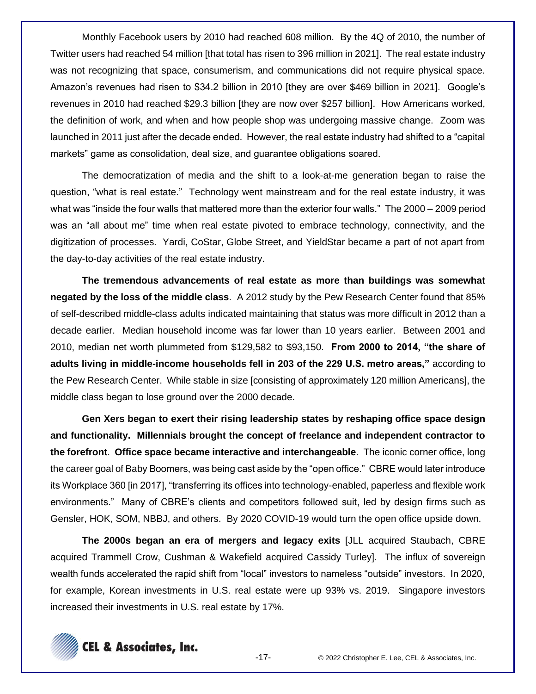Monthly Facebook users by 2010 had reached 608 million. By the 4Q of 2010, the number of Twitter users had reached 54 million [that total has risen to 396 million in 2021]. The real estate industry was not recognizing that space, consumerism, and communications did not require physical space. Amazon's revenues had risen to \$34.2 billion in 2010 [they are over \$469 billion in 2021]. Google's revenues in 2010 had reached \$29.3 billion [they are now over \$257 billion]. How Americans worked, the definition of work, and when and how people shop was undergoing massive change. Zoom was launched in 2011 just after the decade ended. However, the real estate industry had shifted to a "capital markets" game as consolidation, deal size, and guarantee obligations soared.

The democratization of media and the shift to a look-at-me generation began to raise the question, "what is real estate." Technology went mainstream and for the real estate industry, it was what was "inside the four walls that mattered more than the exterior four walls." The 2000 – 2009 period was an "all about me" time when real estate pivoted to embrace technology, connectivity, and the digitization of processes. Yardi, CoStar, Globe Street, and YieldStar became a part of not apart from the day-to-day activities of the real estate industry.

**The tremendous advancements of real estate as more than buildings was somewhat negated by the loss of the middle class**. A 2012 study by the Pew Research Center found that 85% of self-described middle-class adults indicated maintaining that status was more difficult in 2012 than a decade earlier. Median household income was far lower than 10 years earlier. Between 2001 and 2010, median net worth plummeted from \$129,582 to \$93,150. **From 2000 to 2014, "the share of adults living in middle-income households fell in 203 of the 229 U.S. metro areas,"** according to the Pew Research Center. While stable in size [consisting of approximately 120 million Americans], the middle class began to lose ground over the 2000 decade.

**Gen Xers began to exert their rising leadership states by reshaping office space design and functionality. Millennials brought the concept of freelance and independent contractor to the forefront**. **Office space became interactive and interchangeable**. The iconic corner office, long the career goal of Baby Boomers, was being cast aside by the "open office." CBRE would later introduce its Workplace 360 [in 2017], "transferring its offices into technology-enabled, paperless and flexible work environments." Many of CBRE's clients and competitors followed suit, led by design firms such as Gensler, HOK, SOM, NBBJ, and others. By 2020 COVID-19 would turn the open office upside down.

**The 2000s began an era of mergers and legacy exits** [JLL acquired Staubach, CBRE acquired Trammell Crow, Cushman & Wakefield acquired Cassidy Turley]. The influx of sovereign wealth funds accelerated the rapid shift from "local" investors to nameless "outside" investors. In 2020, for example, Korean investments in U.S. real estate were up 93% vs. 2019. Singapore investors increased their investments in U.S. real estate by 17%.

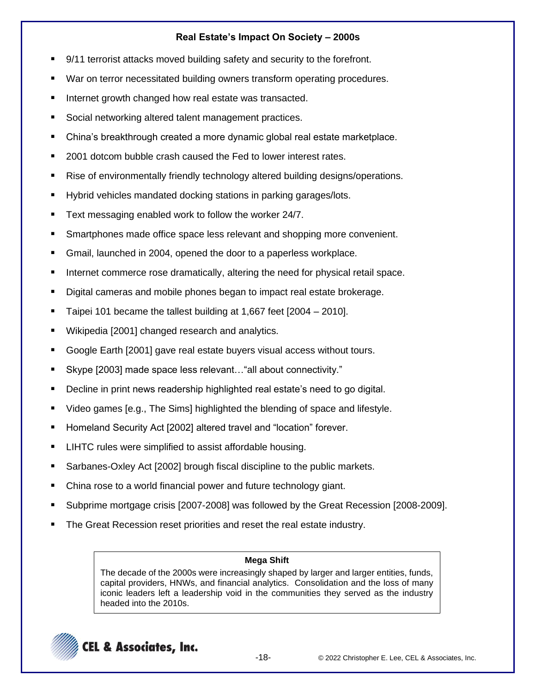# **Real Estate's Impact On Society – 2000s**

- 9/11 terrorist attacks moved building safety and security to the forefront.
- War on terror necessitated building owners transform operating procedures.
- Internet growth changed how real estate was transacted.
- Social networking altered talent management practices.
- China's breakthrough created a more dynamic global real estate marketplace.
- 2001 dotcom bubble crash caused the Fed to lower interest rates.
- Rise of environmentally friendly technology altered building designs/operations.
- Hybrid vehicles mandated docking stations in parking garages/lots.
- Text messaging enabled work to follow the worker 24/7.
- Smartphones made office space less relevant and shopping more convenient.
- Gmail, launched in 2004, opened the door to a paperless workplace.
- Internet commerce rose dramatically, altering the need for physical retail space.
- Digital cameras and mobile phones began to impact real estate brokerage.
- Taipei 101 became the tallest building at 1,667 feet  $[2004 2010]$ .
- Wikipedia [2001] changed research and analytics.
- Google Earth [2001] gave real estate buyers visual access without tours.
- Skype [2003] made space less relevant... "all about connectivity."
- Decline in print news readership highlighted real estate's need to go digital.
- Video games [e.g., The Sims] highlighted the blending of space and lifestyle.
- Homeland Security Act [2002] altered travel and "location" forever.
- LIHTC rules were simplified to assist affordable housing.
- Sarbanes-Oxley Act [2002] brough fiscal discipline to the public markets.
- China rose to a world financial power and future technology giant.
- Subprime mortgage crisis [2007-2008] was followed by the Great Recession [2008-2009].
- The Great Recession reset priorities and reset the real estate industry.

### **Mega Shift**

The decade of the 2000s were increasingly shaped by larger and larger entities, funds, capital providers, HNWs, and financial analytics. Consolidation and the loss of many iconic leaders left a leadership void in the communities they served as the industry headed into the 2010s.

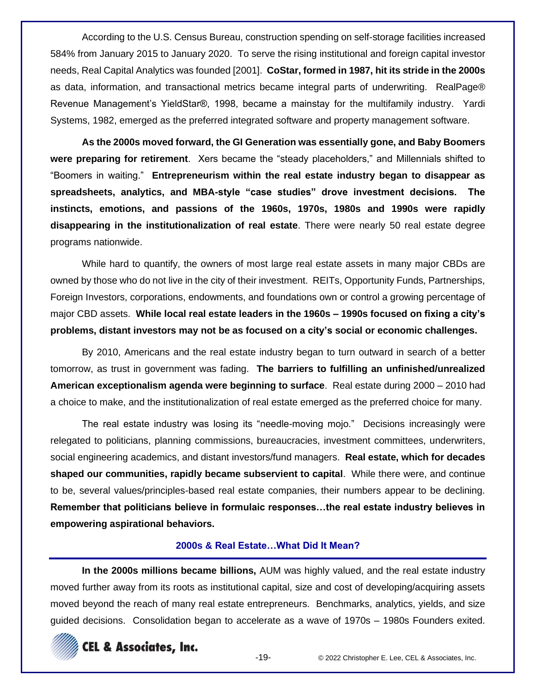According to the U.S. Census Bureau, construction spending on self-storage facilities increased 584% from January 2015 to January 2020. To serve the rising institutional and foreign capital investor needs, Real Capital Analytics was founded [2001]. **CoStar, formed in 1987, hit its stride in the 2000s** as data, information, and transactional metrics became integral parts of underwriting. RealPage® Revenue Management's YieldStar®, 1998, became a mainstay for the multifamily industry. Yardi Systems, 1982, emerged as the preferred integrated software and property management software.

**As the 2000s moved forward, the GI Generation was essentially gone, and Baby Boomers were preparing for retirement**. Xers became the "steady placeholders," and Millennials shifted to "Boomers in waiting." **Entrepreneurism within the real estate industry began to disappear as spreadsheets, analytics, and MBA-style "case studies" drove investment decisions. The instincts, emotions, and passions of the 1960s, 1970s, 1980s and 1990s were rapidly disappearing in the institutionalization of real estate**. There were nearly 50 real estate degree programs nationwide.

While hard to quantify, the owners of most large real estate assets in many major CBDs are owned by those who do not live in the city of their investment. REITs, Opportunity Funds, Partnerships, Foreign Investors, corporations, endowments, and foundations own or control a growing percentage of major CBD assets. **While local real estate leaders in the 1960s – 1990s focused on fixing a city's problems, distant investors may not be as focused on a city's social or economic challenges.**

By 2010, Americans and the real estate industry began to turn outward in search of a better tomorrow, as trust in government was fading. **The barriers to fulfilling an unfinished/unrealized American exceptionalism agenda were beginning to surface**. Real estate during 2000 – 2010 had a choice to make, and the institutionalization of real estate emerged as the preferred choice for many.

The real estate industry was losing its "needle-moving mojo." Decisions increasingly were relegated to politicians, planning commissions, bureaucracies, investment committees, underwriters, social engineering academics, and distant investors/fund managers. **Real estate, which for decades shaped our communities, rapidly became subservient to capital**. While there were, and continue to be, several values/principles-based real estate companies, their numbers appear to be declining. **Remember that politicians believe in formulaic responses…the real estate industry believes in empowering aspirational behaviors.**

### **2000s & Real Estate…What Did It Mean?**

**In the 2000s millions became billions,** AUM was highly valued, and the real estate industry moved further away from its roots as institutional capital, size and cost of developing/acquiring assets moved beyond the reach of many real estate entrepreneurs. Benchmarks, analytics, yields, and size guided decisions. Consolidation began to accelerate as a wave of 1970s – 1980s Founders exited.

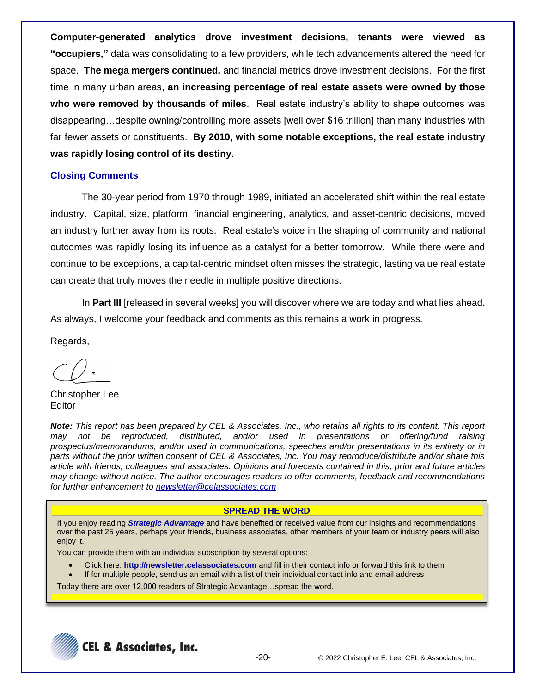**Computer-generated analytics drove investment decisions, tenants were viewed as "occupiers,"** data was consolidating to a few providers, while tech advancements altered the need for space. **The mega mergers continued,** and financial metrics drove investment decisions. For the first time in many urban areas, **an increasing percentage of real estate assets were owned by those who were removed by thousands of miles**. Real estate industry's ability to shape outcomes was disappearing…despite owning/controlling more assets [well over \$16 trillion] than many industries with far fewer assets or constituents. **By 2010, with some notable exceptions, the real estate industry was rapidly losing control of its destiny**.

### **Closing Comments**

The 30-year period from 1970 through 1989, initiated an accelerated shift within the real estate industry. Capital, size, platform, financial engineering, analytics, and asset-centric decisions, moved an industry further away from its roots. Real estate's voice in the shaping of community and national outcomes was rapidly losing its influence as a catalyst for a better tomorrow. While there were and continue to be exceptions, a capital-centric mindset often misses the strategic, lasting value real estate can create that truly moves the needle in multiple positive directions.

In **Part III** [released in several weeks] you will discover where we are today and what lies ahead. As always, I welcome your feedback and comments as this remains a work in progress.

Regards,

Christopher Lee **Editor** 

*Note: This report has been prepared by CEL & Associates, Inc., who retains all rights to its content. This report may not be reproduced, distributed, and/or used in presentations or offering/fund raising prospectus/memorandums, and/or used in communications, speeches and/or presentations in its entirety or in parts without the prior written consent of CEL & Associates, Inc. You may reproduce/distribute and/or share this article with friends, colleagues and associates. Opinions and forecasts contained in this, prior and future articles may change without notice. The author encourages readers to offer comments, feedback and recommendations for further enhancement to [newsletter@celassociates.com](mailto:newsletter@celassociates.com)*

### **SPREAD THE WORD**

If you enjoy reading *Strategic Advantage* and have benefited or received value from our insights and recommendations over the past 25 years, perhaps your friends, business associates, other members of your team or industry peers will also enjoy it.

You can provide them with an individual subscription by several options:

- Click here: **http://newsletter.celassociates.com** and fill in their contact info or forward this link to them
- If for multiple people, send us an email with a list of their individual contact info and email address

Today there are over 12,000 readers of Strategic Advantage…spread the word.

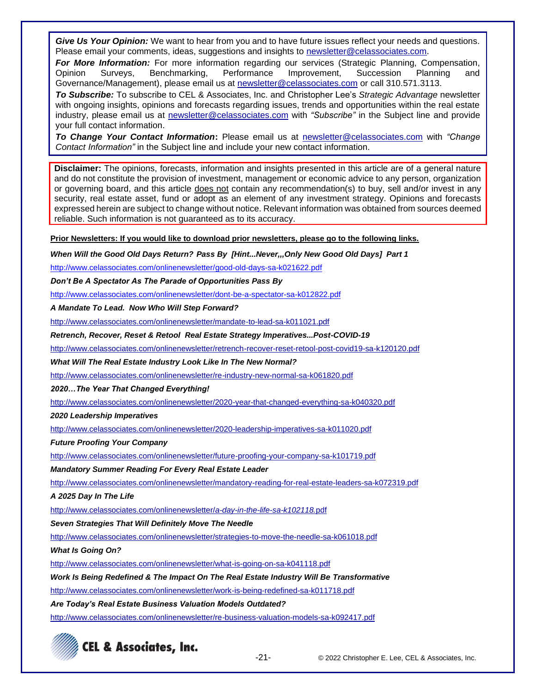*Give Us Your Opinion:* We want to hear from you and to have future issues reflect your needs and questions. Please email your comments, ideas, suggestions and insights to newsletter@celassociates.com.

*For More Information:* For more information regarding our services (Strategic Planning, Compensation, Opinion Surveys, Benchmarking, Performance Improvement, Succession Planning and Governance/Management), please email us at newsletter@celassociates.com or call 310.571.3113.

*To Subscribe:* To subscribe to CEL & Associates, Inc. and Christopher Lee's *Strategic Advantage* newsletter with ongoing insights, opinions and forecasts regarding issues, trends and opportunities within the real estate industry, please email us at newsletter@celassociates.com with *"Subscribe"* in the Subject line and provide your full contact information.

*To Change Your Contact Information***:** Please email us at newsletter@celassociates.com with *"Change Contact Information"* in the Subject line and include your new contact information.

**Disclaimer:** The opinions, forecasts, information and insights presented in this article are of a general nature and do not constitute the provision of investment, management or economic advice to any person, organization or governing board, and this article does not contain any recommendation(s) to buy, sell and/or invest in any security, real estate asset, fund or adopt as an element of any investment strategy. Opinions and forecasts expressed herein are subject to change without notice. Relevant information was obtained from sources deemed reliable. Such information is not guaranteed as to its accuracy.

**Prior Newsletters: If you would like to download prior newsletters, please go to the following links.**

*When Will the Good Old Days Return? Pass By [Hint...Never,,,Only New Good Old Days] Part 1*

[http://www.celassociates.com/onlinenewsletter/g](http://www.celassociates.com/onlinenewsletter/dont-be-a-spectator-sa-k012822.pdf)ood-old-days-sa-k021622.pdf

*Don't Be A Spectator As The Parade of Opportunities Pass By*

<http://www.celassociates.com/onlinenewsletter/dont-be-a-spectator-sa-k012822.pdf>

*A Mandate To Lead. Now Who Will Step Forward?*

<http://www.celassociates.com/onlinenewsletter/mandate-to-lead-sa-k011021.pdf>

*Retrench, Recover, Reset & Retool Real Estate Strategy Imperatives...Post-COVID-19*

<http://www.celassociates.com/onlinenewsletter/retrench-recover-reset-retool-post-covid19-sa-k120120.pdf>

*What Will The Real Estate Industry Look Like In The New Normal?*

<http://www.celassociates.com/onlinenewsletter/re-industry-new-normal-sa-k061820.pdf>

*2020…The Year That Changed Everything!*

http://www.celassociates.com/onlinenewsletter/2020-year-that-changed-everything-sa-k040320.pdf

*2020 Leadership Imperatives*

<http://www.celassociates.com/onlinenewsletter/2020-leadership-imperatives-sa-k011020.pdf>

*Future Proofing Your Company*

<http://www.celassociates.com/onlinenewsletter/future-proofing-your-company-sa-k101719.pdf>

*Mandatory Summer Reading For Every Real Estate Leader*

<http://www.celassociates.com/onlinenewsletter/mandatory-reading-for-real-estate-leaders-sa-k072319.pdf>

*A 2025 Day In The Life*

[http://www.celassociates.com/onlinenewsletter/](http://www.celassociates.com/onlinenewsletter/a-day-in-the-life-sa-k102118.pdf)*a-day-in-the-life-sa-k102118.*pdf

#### *Seven Strategies That Will Definitely Move The Needle*

<http://www.celassociates.com/onlinenewsletter/strategies-to-move-the-needle-sa-k061018.pdf>

*What Is Going On?*

[http://www.celassociates.com/onlinenewsletter/what-is-going-on-sa-k041118.pdf](http://www.celassociates.com/onlinenewsletter/work-is-being-redefined-sa-k011718.pdf.pdf)

*Work Is Being Redefined & The Impact On The Real Estate Industry Will Be Transformative*

[http://www.celassociates.com/onlinenewsletter/work-is-being-redefined-sa-k011718.pdf](http://www.celassociates.com/onlinenewsletter/work-is-being-redefined-sa-k011718.pdf.pdf)

*Are Today's Real Estate Business Valuation Models Outdated?*

<http://www.celassociates.com/onlinenewsletter/re-business-valuation-models-sa-k092417.pdf>



-21- © 2022 Christopher E. Lee, CEL & Associates, Inc.